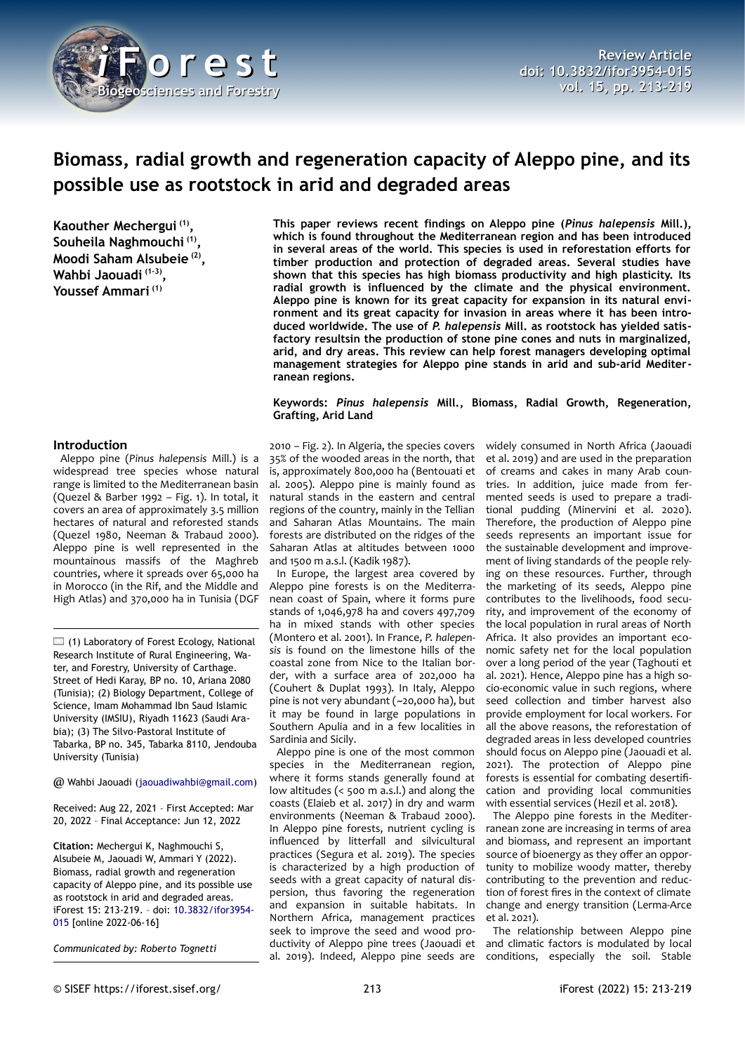

# **Biomass, radial growth and regeneration capacity of Aleppo pine, and its possible use as rootstock in arid and degraded areas**

**Kaouther Mechergui (1) , Souheila Naghmouchi (1) , Moodi Saham Alsubeie (2) , Wahbi Jaouadi (1-3) , Youssef Ammari (1)**

## **Introduction**

Aleppo pine (*Pinus halepensis* Mill.) is a widespread tree species whose natural range is limited to the Mediterranean basin (Quezel & Barber 1992 – [Fig. 1\)](#page-1-0). In total, it covers an area of approximately 3.5 million hectares of natural and reforested stands (Quezel 1980, Neeman & Trabaud 2000). Aleppo pine is well represented in the mountainous massifs of the Maghreb countries, where it spreads over 65,000 ha in Morocco (in the Rif, and the Middle and High Atlas) and 370,000 ha in Tunisia (DGF

 $\Box$  (1) Laboratory of Forest Ecology, National Research Institute of Rural Engineering, Water, and Forestry, University of Carthage. Street of Hedi Karay, BP no. 10, Ariana 2080 (Tunisia); (2) Biology Department, College of Science, Imam Mohammad Ibn Saud Islamic University (IMSIU), Riyadh 11623 (Saudi Arabia); (3) The Silvo-Pastoral Institute of Tabarka, BP no. 345, Tabarka 8110, Jendouba University (Tunisia)

@ Wahbi Jaouadi ([jaouadiwahbi@gmail.com](mailto:jaouadiwahbi@gmail.com))

Received: Aug 22, 2021 – First Accepted: Mar 20, 2022 – Final Acceptance: Jun 12, 2022

**Citation:** Mechergui K, Naghmouchi S, Alsubeie M, Jaouadi W, Ammari Y (2022). Biomass, radial growth and regeneration capacity of Aleppo pine, and its possible use as rootstock in arid and degraded areas. iForest 15: 213-219. – doi: [10.3832/ifor3954-](http://www.sisef.it/iforest/contents/?id=ifor3954-015) [015](http://www.sisef.it/iforest/contents/?id=ifor3954-015) [online 2022-06-16]

*Communicated by: Roberto Tognetti*

**This paper reviews recent findings on Aleppo pine (***Pinus halepensis* **Mill.), which is found throughout the Mediterranean region and has been introduced in several areas of the world. This species is used in reforestation efforts for timber production and protection of degraded areas. Several studies have shown that this species has high biomass productivity and high plasticity. Its radial growth is influenced by the climate and the physical environment. Aleppo pine is known for its great capacity for expansion in its natural environment and its great capacity for invasion in areas where it has been introduced worldwide. The use of** *P. halepensis* **Mill. as rootstock has yielded satisfactory resultsin the production of stone pine cones and nuts in marginalized, arid, and dry areas. This review can help forest managers developing optimal management strategies for Aleppo pine stands in arid and sub-arid Mediterranean regions.**

#### **Keywords:** *Pinus halepensis* **Mill., Biomass, Radial Growth, Regeneration, Grafting, Arid Land**

2010 – [Fig. 2](#page-1-1)). In Algeria, the species covers 35% of the wooded areas in the north, that is, approximately 800,000 ha (Bentouati et al. 2005). Aleppo pine is mainly found as natural stands in the eastern and central regions of the country, mainly in the Tellian and Saharan Atlas Mountains. The main forests are distributed on the ridges of the Saharan Atlas at altitudes between 1000 and 1500 m a.s.l. (Kadik 1987).

In Europe, the largest area covered by Aleppo pine forests is on the Mediterranean coast of Spain, where it forms pure stands of 1,046,978 ha and covers 497,709 ha in mixed stands with other species (Montero et al. 2001). In France, *P. halepensis* is found on the limestone hills of the coastal zone from Nice to the Italian border, with a surface area of 202,000 ha (Couhert & Duplat 1993). In Italy, Aleppo pine is not very abundant (~20,000 ha), but it may be found in large populations in Southern Apulia and in a few localities in Sardinia and Sicily.

Aleppo pine is one of the most common species in the Mediterranean region, where it forms stands generally found at low altitudes (< 500 m a.s.l.) and along the coasts (Elaieb et al. 2017) in dry and warm environments (Neeman & Trabaud 2000). In Aleppo pine forests, nutrient cycling is influenced by litterfall and silvicultural practices (Segura et al. 2019). The species is characterized by a high production of seeds with a great capacity of natural dispersion, thus favoring the regeneration and expansion in suitable habitats. In Northern Africa, management practices seek to improve the seed and wood productivity of Aleppo pine trees (Jaouadi et al. 2019). Indeed, Aleppo pine seeds are

widely consumed in North Africa (Jaouadi et al. 2019) and are used in the preparation of creams and cakes in many Arab countries. In addition, juice made from fermented seeds is used to prepare a traditional pudding (Minervini et al. 2020). Therefore, the production of Aleppo pine seeds represents an important issue for the sustainable development and improvement of living standards of the people relying on these resources. Further, through the marketing of its seeds, Aleppo pine contributes to the livelihoods, food security, and improvement of the economy of the local population in rural areas of North Africa. It also provides an important economic safety net for the local population over a long period of the year (Taghouti et al. 2021). Hence, Aleppo pine has a high socio-economic value in such regions, where seed collection and timber harvest also provide employment for local workers. For all the above reasons, the reforestation of degraded areas in less developed countries should focus on Aleppo pine (Jaouadi et al. 2021). The protection of Aleppo pine forests is essential for combating desertification and providing local communities with essential services (Hezil et al. 2018).

The Aleppo pine forests in the Mediterranean zone are increasing in terms of area and biomass, and represent an important source of bioenergy as they offer an opportunity to mobilize woody matter, thereby contributing to the prevention and reduction of forest fires in the context of climate change and energy transition (Lerma-Arce et al. 2021).

The relationship between Aleppo pine and climatic factors is modulated by local conditions, especially the soil. Stable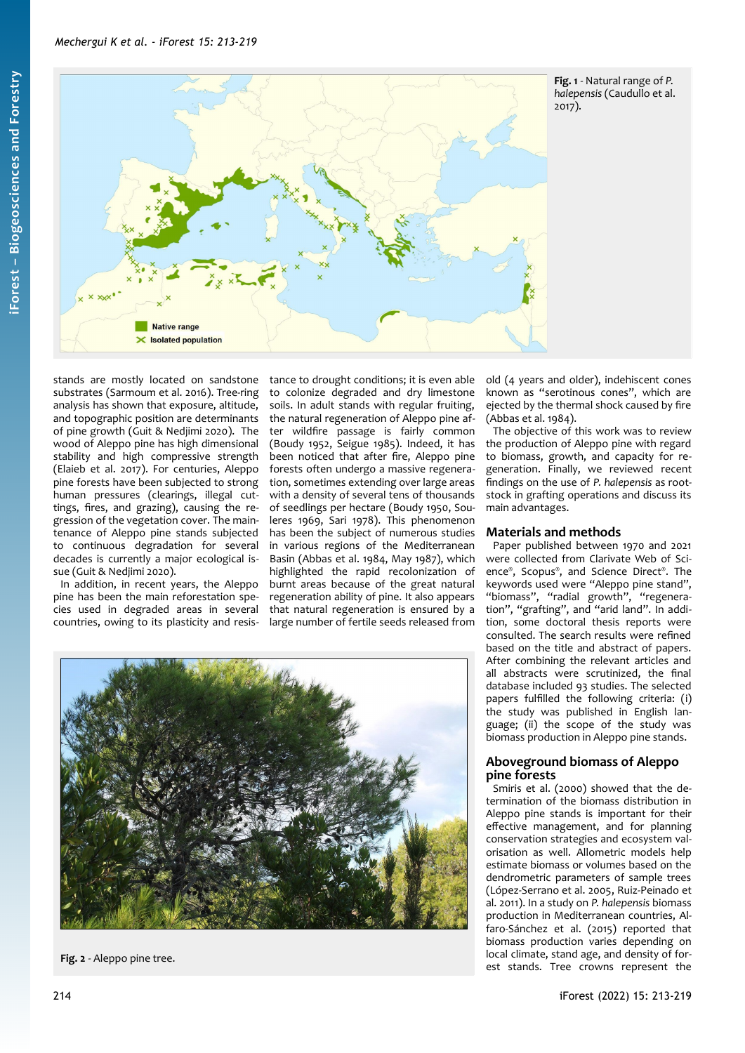

<span id="page-1-0"></span>**Fig. 1** - Natural range of *P. halepensis* (Caudullo et al. 2017).

stands are mostly located on sandstone substrates (Sarmoum et al. 2016). Tree-ring analysis has shown that exposure, altitude, and topographic position are determinants of pine growth (Guit & Nedjimi 2020). The wood of Aleppo pine has high dimensional stability and high compressive strength (Elaieb et al. 2017). For centuries, Aleppo pine forests have been subjected to strong human pressures (clearings, illegal cuttings, fires, and grazing), causing the regression of the vegetation cover. The maintenance of Aleppo pine stands subjected to continuous degradation for several decades is currently a major ecological issue (Guit & Nedjimi 2020).

In addition, in recent years, the Aleppo pine has been the main reforestation species used in degraded areas in several countries, owing to its plasticity and resistance to drought conditions; it is even able to colonize degraded and dry limestone soils. In adult stands with regular fruiting, the natural regeneration of Aleppo pine after wildfire passage is fairly common (Boudy 1952, Seigue 1985). Indeed, it has been noticed that after fire, Aleppo pine forests often undergo a massive regeneration, sometimes extending over large areas with a density of several tens of thousands of seedlings per hectare (Boudy 1950, Souleres 1969, Sari 1978). This phenomenon has been the subject of numerous studies in various regions of the Mediterranean Basin (Abbas et al. 1984, May 1987), which highlighted the rapid recolonization of burnt areas because of the great natural regeneration ability of pine. It also appears that natural regeneration is ensured by a large number of fertile seeds released from old (4 years and older), indehiscent cones known as "serotinous cones", which are ejected by the thermal shock caused by fire (Abbas et al. 1984).

The objective of this work was to review the production of Aleppo pine with regard to biomass, growth, and capacity for regeneration. Finally, we reviewed recent findings on the use of *P. halepensis* as rootstock in grafting operations and discuss its main advantages.

# **Materials and methods**

Paper published between 1970 and 2021 were collected from Clarivate Web of Science® , Scopus® , and Science Direct® . The keywords used were "Aleppo pine stand", "biomass", "radial growth", "regeneration", "grafting", and "arid land". In addition, some doctoral thesis reports were consulted. The search results were refined based on the title and abstract of papers. After combining the relevant articles and all abstracts were scrutinized, the final database included 93 studies. The selected papers fulfilled the following criteria: (i) the study was published in English language; (ii) the scope of the study was biomass production in Aleppo pine stands.

# **Aboveground biomass of Aleppo pine forests**

Smiris et al. (2000) showed that the determination of the biomass distribution in Aleppo pine stands is important for their effective management, and for planning conservation strategies and ecosystem valorisation as well. Allometric models help estimate biomass or volumes based on the dendrometric parameters of sample trees (López-Serrano et al. 2005, Ruiz-Peinado et al. 2011). In a study on *P. halepensis* biomass production in Mediterranean countries, Alfaro-Sánchez et al. (2015) reported that biomass production varies depending on local climate, stand age, and density of forest stands. Tree crowns represent the

<span id="page-1-1"></span>

**Fig. 2** - Aleppo pine tree.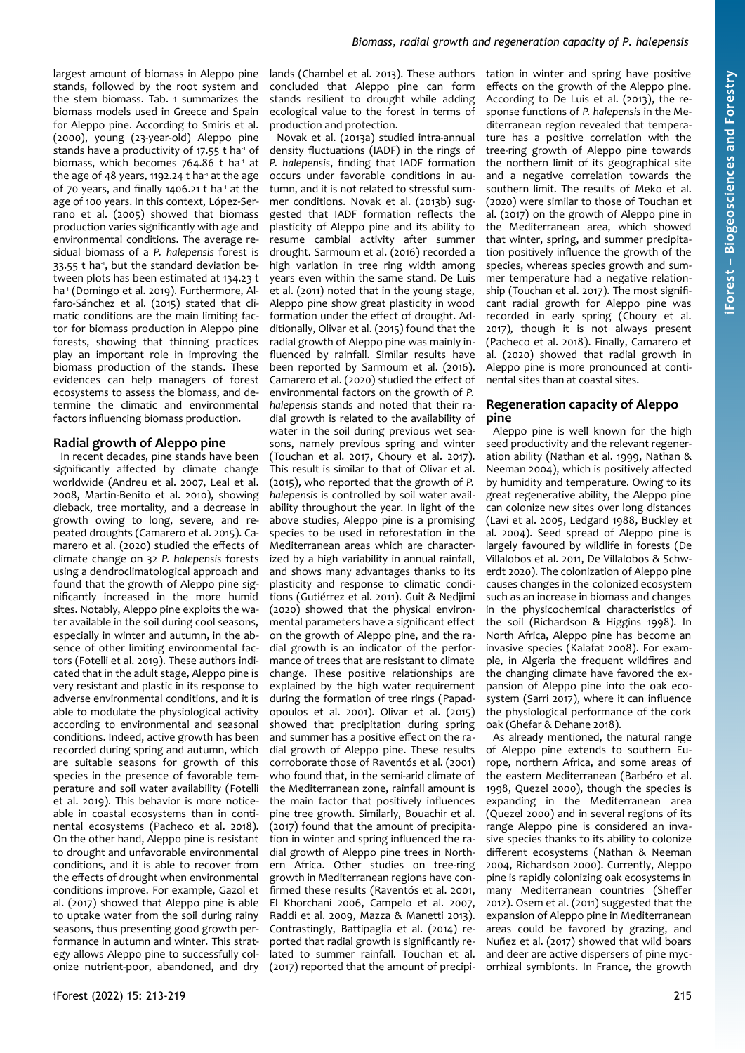largest amount of biomass in Aleppo pine stands, followed by the root system and the stem biomass. [Tab. 1](#page-3-0) summarizes the biomass models used in Greece and Spain for Aleppo pine. According to Smiris et al. (2000), young (23-year-old) Aleppo pine stands have a productivity of 17.55 t ha<sup>1</sup> of biomass, which becomes  $764.86$  t ha<sup>-1</sup> at the age of 48 years, 1192.24 t ha<sup>-1</sup> at the age of 70 years, and finally 1406.21  $t$  ha<sup>-1</sup> at the age of 100 years. In this context, López-Serrano et al. (2005) showed that biomass production varies significantly with age and environmental conditions. The average residual biomass of a *P. halepensis* forest is 33.55 t ha<sup>-1</sup>, but the standard deviation between plots has been estimated at 134.23 t ha<sup>-1</sup> (Domingo et al. 2019). Furthermore, Alfaro-Sánchez et al. (2015) stated that climatic conditions are the main limiting factor for biomass production in Aleppo pine forests, showing that thinning practices play an important role in improving the biomass production of the stands. These evidences can help managers of forest ecosystems to assess the biomass, and determine the climatic and environmental factors influencing biomass production.

## **Radial growth of Aleppo pine**

In recent decades, pine stands have been significantly affected by climate change worldwide (Andreu et al. 2007, Leal et al. 2008, Martin-Benito et al. 2010), showing dieback, tree mortality, and a decrease in growth owing to long, severe, and repeated droughts (Camarero et al. 2015). Camarero et al. (2020) studied the effects of climate change on 32 *P. halepensis* forests using a dendroclimatological approach and found that the growth of Aleppo pine significantly increased in the more humid sites. Notably, Aleppo pine exploits the water available in the soil during cool seasons, especially in winter and autumn, in the absence of other limiting environmental factors (Fotelli et al. 2019). These authors indicated that in the adult stage, Aleppo pine is very resistant and plastic in its response to adverse environmental conditions, and it is able to modulate the physiological activity according to environmental and seasonal conditions. Indeed, active growth has been recorded during spring and autumn, which are suitable seasons for growth of this species in the presence of favorable temperature and soil water availability (Fotelli et al. 2019). This behavior is more noticeable in coastal ecosystems than in continental ecosystems (Pacheco et al. 2018). On the other hand, Aleppo pine is resistant to drought and unfavorable environmental conditions, and it is able to recover from the effects of drought when environmental conditions improve. For example, Gazol et al. (2017) showed that Aleppo pine is able to uptake water from the soil during rainy seasons, thus presenting good growth performance in autumn and winter. This strategy allows Aleppo pine to successfully colonize nutrient-poor, abandoned, and dry

lands (Chambel et al. 2013). These authors concluded that Aleppo pine can form stands resilient to drought while adding ecological value to the forest in terms of production and protection.

Novak et al. (2013a) studied intra-annual density fluctuations (IADF) in the rings of *P. halepensis*, finding that IADF formation occurs under favorable conditions in autumn, and it is not related to stressful summer conditions. Novak et al. (2013b) suggested that IADF formation reflects the plasticity of Aleppo pine and its ability to resume cambial activity after summer drought. Sarmoum et al. (2016) recorded a high variation in tree ring width among years even within the same stand. De Luis et al. (2011) noted that in the young stage, Aleppo pine show great plasticity in wood formation under the effect of drought. Additionally, Olivar et al. (2015) found that the radial growth of Aleppo pine was mainly influenced by rainfall. Similar results have been reported by Sarmoum et al. (2016). Camarero et al. (2020) studied the effect of environmental factors on the growth of *P. halepensis* stands and noted that their radial growth is related to the availability of water in the soil during previous wet seasons, namely previous spring and winter (Touchan et al. 2017, Choury et al. 2017). This result is similar to that of Olivar et al. (2015), who reported that the growth of *P. halepensis* is controlled by soil water availability throughout the year. In light of the above studies, Aleppo pine is a promising species to be used in reforestation in the Mediterranean areas which are characterized by a high variability in annual rainfall, and shows many advantages thanks to its plasticity and response to climatic conditions (Gutiérrez et al. 2011). Guit & Nedjimi (2020) showed that the physical environmental parameters have a significant effect on the growth of Aleppo pine, and the radial growth is an indicator of the performance of trees that are resistant to climate change. These positive relationships are explained by the high water requirement during the formation of tree rings (Papadopoulos et al. 2001). Olivar et al. (2015) showed that precipitation during spring and summer has a positive effect on the radial growth of Aleppo pine. These results corroborate those of Raventós et al. (2001) who found that, in the semi-arid climate of the Mediterranean zone, rainfall amount is the main factor that positively influences pine tree growth. Similarly, Bouachir et al. (2017) found that the amount of precipitation in winter and spring influenced the radial growth of Aleppo pine trees in Northern Africa. Other studies on tree-ring growth in Mediterranean regions have confirmed these results (Raventós et al. 2001, El Khorchani 2006, Campelo et al. 2007, Raddi et al. 2009, Mazza & Manetti 2013). Contrastingly, Battipaglia et al. (2014) reported that radial growth is significantly related to summer rainfall. Touchan et al. (2017) reported that the amount of precipitation in winter and spring have positive effects on the growth of the Aleppo pine. According to De Luis et al. (2013), the response functions of *P. halepensis* in the Mediterranean region revealed that temperature has a positive correlation with the tree-ring growth of Aleppo pine towards the northern limit of its geographical site and a negative correlation towards the southern limit. The results of Meko et al. (2020) were similar to those of Touchan et al. (2017) on the growth of Aleppo pine in the Mediterranean area, which showed that winter, spring, and summer precipitation positively influence the growth of the species, whereas species growth and summer temperature had a negative relationship (Touchan et al. 2017). The most significant radial growth for Aleppo pine was recorded in early spring (Choury et al. 2017), though it is not always present (Pacheco et al. 2018). Finally, Camarero et al. (2020) showed that radial growth in Aleppo pine is more pronounced at continental sites than at coastal sites.

**iForest –**

**Bio geoscie**

**nces a nd Forestry**

# **Regeneration capacity of Aleppo pine**

Aleppo pine is well known for the high seed productivity and the relevant regeneration ability (Nathan et al. 1999, Nathan & Neeman 2004), which is positively affected by humidity and temperature. Owing to its great regenerative ability, the Aleppo pine can colonize new sites over long distances (Lavi et al. 2005, Ledgard 1988, Buckley et al. 2004). Seed spread of Aleppo pine is largely favoured by wildlife in forests (De Villalobos et al. 2011, De Villalobos & Schwerdt 2020). The colonization of Aleppo pine causes changes in the colonized ecosystem such as an increase in biomass and changes in the physicochemical characteristics of the soil (Richardson & Higgins 1998). In North Africa, Aleppo pine has become an invasive species (Kalafat 2008). For example, in Algeria the frequent wildfires and the changing climate have favored the expansion of Aleppo pine into the oak ecosystem (Sarri 2017), where it can influence the physiological performance of the cork oak (Ghefar & Dehane 2018).

As already mentioned, the natural range of Aleppo pine extends to southern Europe, northern Africa, and some areas of the eastern Mediterranean (Barbéro et al. 1998, Quezel 2000), though the species is expanding in the Mediterranean area (Quezel 2000) and in several regions of its range Aleppo pine is considered an invasive species thanks to its ability to colonize different ecosystems (Nathan & Neeman 2004, Richardson 2000). Currently, Aleppo pine is rapidly colonizing oak ecosystems in many Mediterranean countries (Sheffer 2012). Osem et al. (2011) suggested that the expansion of Aleppo pine in Mediterranean areas could be favored by grazing, and Nuñez et al. (2017) showed that wild boars and deer are active dispersers of pine mycorrhizal symbionts. In France, the growth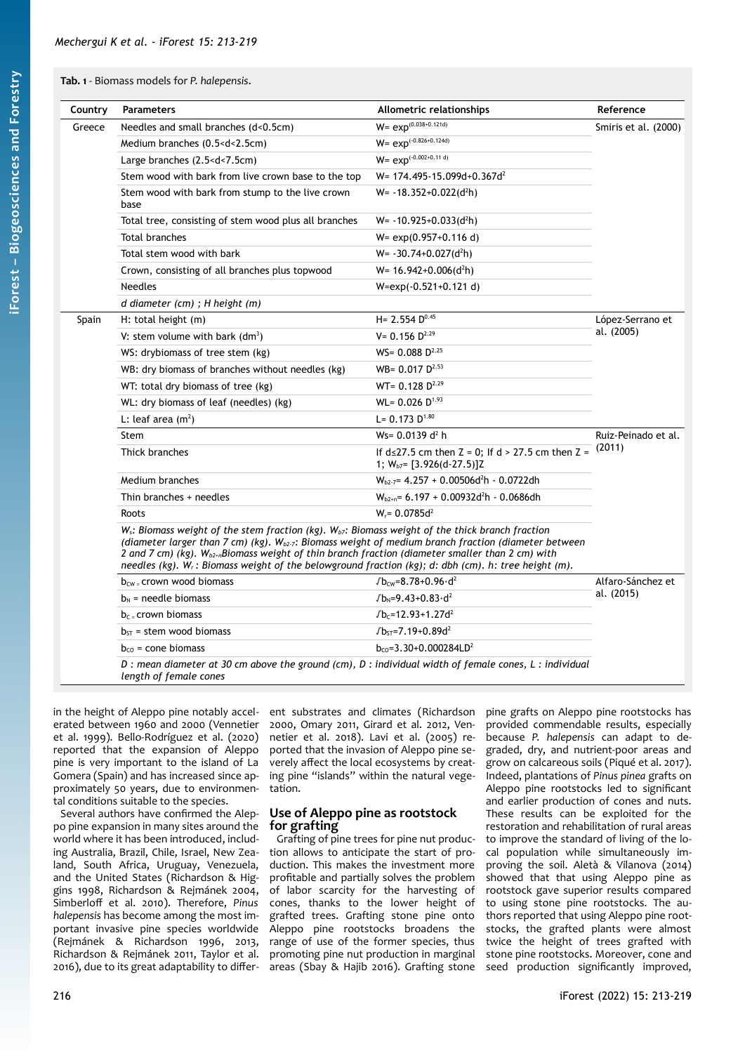## <span id="page-3-0"></span>**Tab. 1** - Biomass models for *P. halepensis*.

| Country | <b>Parameters</b>                                                                                                                                                                                                                                                                                                                                                                                                                        | Allometric relationships                                                                   | Reference                       |
|---------|------------------------------------------------------------------------------------------------------------------------------------------------------------------------------------------------------------------------------------------------------------------------------------------------------------------------------------------------------------------------------------------------------------------------------------------|--------------------------------------------------------------------------------------------|---------------------------------|
| Greece  | Needles and small branches (d<0.5cm)                                                                                                                                                                                                                                                                                                                                                                                                     | $W= exp^{(0.038+0.121d)}$                                                                  | Smiris et al. (2000)            |
|         | Medium branches (0.5 <d<2.5cm)< td=""><td><math>W= exp^{(-0.826+0.124d)}</math></td></d<2.5cm)<>                                                                                                                                                                                                                                                                                                                                         | $W= exp^{(-0.826+0.124d)}$                                                                 |                                 |
|         | Large branches (2.5 <d<7.5cm)< td=""><td><math>W= exp^{(-0.002+0.11 d)}</math></td></d<7.5cm)<>                                                                                                                                                                                                                                                                                                                                          | $W= exp^{(-0.002+0.11 d)}$                                                                 |                                 |
|         | Stem wood with bark from live crown base to the top                                                                                                                                                                                                                                                                                                                                                                                      | W= 174.495-15.099d+0.367d <sup>2</sup>                                                     |                                 |
|         | Stem wood with bark from stump to the live crown<br>base                                                                                                                                                                                                                                                                                                                                                                                 | $W = -18.352 + 0.022$ (d <sup>2</sup> h)                                                   |                                 |
|         | Total tree, consisting of stem wood plus all branches                                                                                                                                                                                                                                                                                                                                                                                    | $W = -10.925 + 0.033$ (d <sup>2</sup> h)                                                   |                                 |
|         | Total branches                                                                                                                                                                                                                                                                                                                                                                                                                           | $W = exp(0.957 + 0.116 d)$                                                                 |                                 |
|         | Total stem wood with bark                                                                                                                                                                                                                                                                                                                                                                                                                | $W = -30.74 + 0.027(d^2h)$                                                                 |                                 |
|         | Crown, consisting of all branches plus topwood                                                                                                                                                                                                                                                                                                                                                                                           | $W = 16.942 + 0.006(d^2h)$                                                                 |                                 |
|         | <b>Needles</b>                                                                                                                                                                                                                                                                                                                                                                                                                           | W=exp(-0.521+0.121 d)                                                                      |                                 |
|         | d diameter (cm) ; H height (m)                                                                                                                                                                                                                                                                                                                                                                                                           |                                                                                            |                                 |
| Spain   | H: total height (m)                                                                                                                                                                                                                                                                                                                                                                                                                      | $H = 2.554 D^{0.45}$                                                                       | López-Serrano et<br>al. (2005)  |
|         | V: stem volume with bark $(dm^3)$                                                                                                                                                                                                                                                                                                                                                                                                        | $V = 0.156 D^{2.29}$                                                                       |                                 |
|         | WS: drybiomass of tree stem (kg)                                                                                                                                                                                                                                                                                                                                                                                                         | $WS = 0.088 D^{2.25}$                                                                      |                                 |
|         | WB: dry biomass of branches without needles (kg)                                                                                                                                                                                                                                                                                                                                                                                         | WB= $0.017 \text{ D}^{2.53}$                                                               |                                 |
|         | WT: total dry biomass of tree (kg)                                                                                                                                                                                                                                                                                                                                                                                                       | $WT = 0.128 D2.29$                                                                         |                                 |
|         | WL: dry biomass of leaf (needles) (kg)                                                                                                                                                                                                                                                                                                                                                                                                   | $WL = 0.026 D^{1.93}$                                                                      |                                 |
|         | L: leaf area $(m2)$                                                                                                                                                                                                                                                                                                                                                                                                                      | L= $0.173$ D <sup>1.80</sup>                                                               |                                 |
|         | Stem                                                                                                                                                                                                                                                                                                                                                                                                                                     | Ws= $0.0139$ d <sup>2</sup> h                                                              | Ruiz-Peinado et al.<br>(2011)   |
|         | Thick branches                                                                                                                                                                                                                                                                                                                                                                                                                           | If $d \le 27.5$ cm then Z = 0; If $d > 27.5$ cm then Z =<br>1; $W_{b7} = [3.926(d-27.5)]Z$ |                                 |
|         | Medium branches                                                                                                                                                                                                                                                                                                                                                                                                                          | $W_{h2.7}$ = 4.257 + 0.00506d <sup>2</sup> h - 0.0722dh                                    |                                 |
|         | Thin branches + needles                                                                                                                                                                                                                                                                                                                                                                                                                  | $W_{b2+n}$ = 6.197 + 0.00932d <sup>2</sup> h - 0.0686dh                                    |                                 |
|         | Roots                                                                                                                                                                                                                                                                                                                                                                                                                                    | $W_r = 0.0785d^2$                                                                          |                                 |
|         | $W_s$ : Biomass weight of the stem fraction (kg). $W_{b7}$ : Biomass weight of the thick branch fraction<br>(diameter larger than 7 cm) (kg). $W_{b2}$ -; Biomass weight of medium branch fraction (diameter between<br>2 and 7 cm) (kg). $W_{b2+n}$ Biomass weight of thin branch fraction (diameter smaller than 2 cm) with<br>needles (kg). $W_r$ : Biomass weight of the belowground fraction (kg); d: dbh (cm). h: tree height (m). |                                                                                            |                                 |
|         | $b_{\text{cw}}$ crown wood biomass                                                                                                                                                                                                                                                                                                                                                                                                       | $Jb_{cw} = 8.78 + 0.96 \cdot d^2$                                                          | Alfaro-Sánchez et<br>al. (2015) |
|         | $b_N$ = needle biomass                                                                                                                                                                                                                                                                                                                                                                                                                   | $Jb_N = 9.43 + 0.83 \cdot d^2$                                                             |                                 |
|         | $bc$ crown biomass                                                                                                                                                                                                                                                                                                                                                                                                                       | $Jb_c = 12.93 + 1.27d^2$                                                                   |                                 |
|         | $b_{ST}$ = stem wood biomass                                                                                                                                                                                                                                                                                                                                                                                                             | $JbST=7.19+0.89d2$                                                                         |                                 |
|         | $b_{\rm co}$ = cone biomass                                                                                                                                                                                                                                                                                                                                                                                                              | $b_{\text{CO}} = 3.30 + 0.000284LD^2$                                                      |                                 |

in the height of Aleppo pine notably accelerated between 1960 and 2000 (Vennetier et al. 1999). Bello-Rodríguez et al. (2020) reported that the expansion of Aleppo pine is very important to the island of La Gomera (Spain) and has increased since approximately 50 years, due to environmental conditions suitable to the species.

Several authors have confirmed the Aleppo pine expansion in many sites around the world where it has been introduced, including Australia, Brazil, Chile, Israel, New Zealand, South Africa, Uruguay, Venezuela, and the United States (Richardson & Higgins 1998, Richardson & Rejmánek 2004, Simberloff et al. 2010). Therefore, *Pinus halepensis* has become among the most important invasive pine species worldwide (Rejmánek & Richardson 1996, 2013, Richardson & Rejmánek 2011, Taylor et al. 2016), due to its great adaptability to different substrates and climates (Richardson 2000, Omary 2011, Girard et al. 2012, Vennetier et al. 2018). Lavi et al. (2005) reported that the invasion of Aleppo pine severely affect the local ecosystems by creating pine "islands" within the natural vegetation.

## **Use of Aleppo pine as rootstock for grafting**

Grafting of pine trees for pine nut production allows to anticipate the start of production. This makes the investment more profitable and partially solves the problem of labor scarcity for the harvesting of cones, thanks to the lower height of grafted trees. Grafting stone pine onto Aleppo pine rootstocks broadens the range of use of the former species, thus promoting pine nut production in marginal areas (Sbay & Hajib 2016). Grafting stone pine grafts on Aleppo pine rootstocks has provided commendable results, especially because *P. halepensis* can adapt to degraded, dry, and nutrient-poor areas and grow on calcareous soils (Piqué et al. 2017). Indeed, plantations of *Pinus pinea* grafts on Aleppo pine rootstocks led to significant and earlier production of cones and nuts. These results can be exploited for the restoration and rehabilitation of rural areas to improve the standard of living of the local population while simultaneously improving the soil. Aletà & Vilanova (2014) showed that that using Aleppo pine as rootstock gave superior results compared to using stone pine rootstocks. The authors reported that using Aleppo pine rootstocks, the grafted plants were almost twice the height of trees grafted with stone pine rootstocks. Moreover, cone and seed production significantly improved,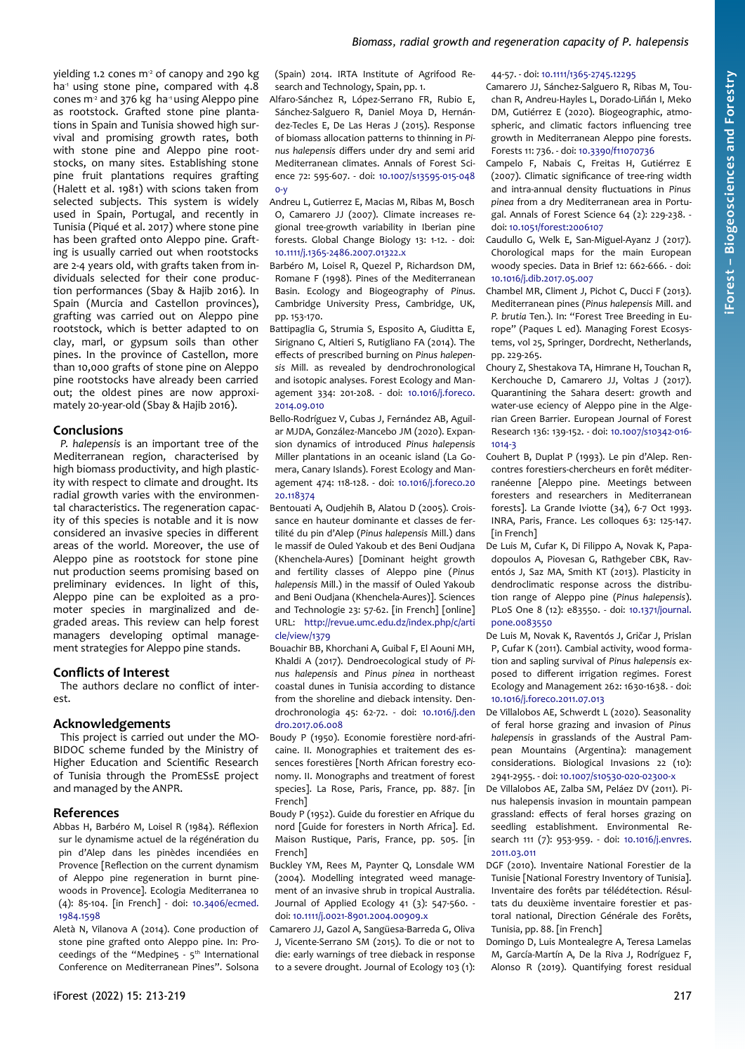yielding 1.2 cones  $m<sup>2</sup>$  of canopy and 290 kg ha<sup>1</sup> using stone pine, compared with 4.8 cones  $m<sup>2</sup>$  and 376 kg ha<sup>-1</sup> using Aleppo pine as rootstock. Grafted stone pine plantations in Spain and Tunisia showed high survival and promising growth rates, both with stone pine and Aleppo pine rootstocks, on many sites. Establishing stone pine fruit plantations requires grafting (Halett et al. 1981) with scions taken from selected subjects. This system is widely used in Spain, Portugal, and recently in Tunisia (Piqué et al. 2017) where stone pine has been grafted onto Aleppo pine. Grafting is usually carried out when rootstocks are 2-4 years old, with grafts taken from individuals selected for their cone production performances (Sbay & Hajib 2016). In Spain (Murcia and Castellon provinces), grafting was carried out on Aleppo pine rootstock, which is better adapted to on clay, marl, or gypsum soils than other pines. In the province of Castellon, more than 10,000 grafts of stone pine on Aleppo pine rootstocks have already been carried out; the oldest pines are now approximately 20-year-old (Sbay & Hajib 2016).

## **Conclusions**

*P. halepensis* is an important tree of the Mediterranean region, characterised by high biomass productivity, and high plasticity with respect to climate and drought. Its radial growth varies with the environmental characteristics. The regeneration capacity of this species is notable and it is now considered an invasive species in different areas of the world. Moreover, the use of Aleppo pine as rootstock for stone pine nut production seems promising based on preliminary evidences. In light of this, Aleppo pine can be exploited as a promoter species in marginalized and degraded areas. This review can help forest managers developing optimal management strategies for Aleppo pine stands.

## **Conflicts of Interest**

The authors declare no conflict of interest.

## **Acknowledgements**

This project is carried out under the MO-BIDOC scheme funded by the Ministry of Higher Education and Scientific Research of Tunisia through the PromESsE project and managed by the ANPR.

## **References**

- Abbas H, Barbéro M, Loisel R (1984). Réflexion sur le dynamisme actuel de la régénération du pin d'Alep dans les pinèdes incendiées en Provence [Reflection on the current dynamism of Aleppo pine regeneration in burnt pinewoods in Provence]. Ecologia Mediterranea 10 (4): 85-104. [in French] - doi: [10.3406/ecmed.](https://doi.org/10.3406/ecmed.1984.1598) [1984.1598](https://doi.org/10.3406/ecmed.1984.1598)
- Aletà N, Vilanova A (2014). Cone production of stone pine grafted onto Aleppo pine. In: Proceedings of the "Medpine5 -  $5<sup>th</sup>$  International Conference on Mediterranean Pines". Solsona

(Spain) 2014. IRTA Institute of Agrifood Research and Technology, Spain, pp. 1.

- Alfaro-Sánchez R, López-Serrano FR, Rubio E, Sánchez-Salguero R, Daniel Moya D, Hernández-Tecles E, De Las Heras J (2015). Response of biomass allocation patterns to thinning in *Pinus halepensis* differs under dry and semi arid Mediterranean climates. Annals of Forest Science 72: 595-607. - doi: [10.1007/s13595-015-048](https://doi.org/10.1007/s13595-015-0480-y)  $0-y$
- Andreu L, Gutierrez E, Macias M, Ribas M, Bosch O, Camarero JJ (2007). Climate increases regional tree-growth variability in Iberian pine forests. Global Change Biology 13: 1-12. - doi: [10.1111/j.1365-2486.2007.01322.x](https://doi.org/10.1111/j.1365-2486.2007.01322.x)
- Barbéro M, Loisel R, Quezel P, Richardson DM, Romane F (1998). Pines of the Mediterranean Basin. Ecology and Biogeography of *Pinus*. Cambridge University Press, Cambridge, UK, pp. 153-170.
- Battipaglia G, Strumia S, Esposito A, Giuditta E, Sirignano C, Altieri S, Rutigliano FA (2014). The effects of prescribed burning on *Pinus halepensis* Mill. as revealed by dendrochronological and isotopic analyses. Forest Ecology and Management 334: 201-208. - doi: [10.1016/j.foreco.](https://doi.org/10.1016/j.foreco.2014.09.010) [2014.09.010](https://doi.org/10.1016/j.foreco.2014.09.010)
- Bello-Rodríguez V, Cubas J, Fernández AB, Aguilar MJDA, González-Mancebo JM (2020). Expansion dynamics of introduced *Pinus halepensis* Miller plantations in an oceanic island (La Gomera, Canary Islands). Forest Ecology and Management 474: 118-128. - doi: [10.1016/j.foreco.20](https://doi.org/10.1016/j.foreco.2020.118374) [20.118374](https://doi.org/10.1016/j.foreco.2020.118374)
- Bentouati A, Oudjehih B, Alatou D (2005). Croissance en hauteur dominante et classes de fertilité du pin d'Alep (*Pinus halepensis* Mill.) dans le massif de Ouled Yakoub et des Beni Oudjana (Khenchela-Aures) [Dominant height growth and fertility classes of Aleppo pine (*Pinus halepensis* Mill.) in the massif of Ouled Yakoub and Beni Oudjana (Khenchela-Aures)]. Sciences and Technologie 23: 57-62. [in French] [online] URL: [http://revue.umc.edu.dz/index.php/c/arti](http://revue.umc.edu.dz/index.php/c/article/view/1379) [cle/view/1379](http://revue.umc.edu.dz/index.php/c/article/view/1379)
- Bouachir BB, Khorchani A, Guibal F, El Aouni MH, Khaldi A (2017). Dendroecological study of *Pinus halepensis* and *Pinus pinea* in northeast coastal dunes in Tunisia according to distance from the shoreline and dieback intensity. Dendrochronologia 45: 62-72. - doi: [10.1016/j.den](https://doi.org/10.1016/j.dendro.2017.06.008) [dro.2017.06.008](https://doi.org/10.1016/j.dendro.2017.06.008)
- Boudy P (1950). Economie forestière nord-africaine. II. Monographies et traitement des essences forestières [North African forestry economy. II. Monographs and treatment of forest species]. La Rose, Paris, France, pp. 887. [in French]
- Boudy P (1952). Guide du forestier en Afrique du nord [Guide for foresters in North Africa]. Ed. Maison Rustique, Paris, France, pp. 505. [in French]
- Buckley YM, Rees M, Paynter Q, Lonsdale WM (2004). Modelling integrated weed management of an invasive shrub in tropical Australia. Journal of Applied Ecology 41 (3): 547-560. doi: [10.1111/j.0021-8901.2004.00909.x](https://doi.org/10.1111/j.0021-8901.2004.00909.x)
- Camarero JJ, Gazol A, Sangüesa-Barreda G, Oliva J, Vicente-Serrano SM (2015). To die or not to die: early warnings of tree dieback in response to a severe drought. Journal of Ecology 103 (1):

# 44-57. - doi: [10.1111/1365-2745.12295](https://doi.org/10.1111/1365-2745.12295)

- Camarero JJ, Sánchez-Salguero R, Ribas M, Touchan R, Andreu-Hayles L, Dorado-Liñán I, Meko DM, Gutiérrez E (2020). Biogeographic, atmospheric, and climatic factors influencing tree growth in Mediterranean Aleppo pine forests. Forests 11: 736. - doi: [10.3390/f11070736](https://doi.org/10.3390/f11070736)
- Campelo F, Nabais C, Freitas H, Gutiérrez E (2007). Climatic significance of tree-ring width and intra-annual density fluctuations in *Pinus pinea* from a dry Mediterranean area in Portugal. Annals of Forest Science 64 (2): 229-238. doi: [10.1051/forest:2006107](https://doi.org/10.1051/forest:2006107)
- Caudullo G, Welk E, San-Miguel-Ayanz J (2017). Chorological maps for the main European woody species. Data in Brief 12: 662-666. - doi: [10.1016/j.dib.2017.05.007](https://doi.org/10.1016/j.dib.2017.05.007)
- Chambel MR, Climent J, Pichot C, Ducci F (2013). Mediterranean pines (*Pinus halepensis* Mill. and *P. brutia* Ten.). In: "Forest Tree Breeding in Europe" (Paques L ed). Managing Forest Ecosystems, vol 25, Springer, Dordrecht, Netherlands, pp. 229-265.
- Choury Z, Shestakova TA, Himrane H, Touchan R, Kerchouche D, Camarero JJ, Voltas J (2017). Quarantining the Sahara desert: growth and water-use eciency of Aleppo pine in the Algerian Green Barrier. European Journal of Forest Research 136: 139-152. - doi: [10.1007/s10342-016-](https://doi.org/10.1007/s10342-016-1014-3) [1014-3](https://doi.org/10.1007/s10342-016-1014-3)
- Couhert B, Duplat P (1993). Le pin d'Alep. Rencontres forestiers-chercheurs en forêt méditerranéenne [Aleppo pine. Meetings between foresters and researchers in Mediterranean forests]. La Grande Iviotte (34), 6-7 Oct 1993. INRA, Paris, France. Les colloques 63: 125-147. [in French]
- De Luis M, Cufar K, Di Filippo A, Novak K, Papadopoulos A, Piovesan G, Rathgeber CBK, Raventós J, Saz MA, Smith KT (2013). Plasticity in dendroclimatic response across the distribution range of Aleppo pine (*Pinus halepensis*). PLoS One 8 (12): e83550. - doi: [10.1371/journal.](https://doi.org/10.1371/journal.pone.0083550) [pone.0083550](https://doi.org/10.1371/journal.pone.0083550)
- De Luis M, Novak K, Raventós J, Gričar J, Prislan P, Cufar K (2011). Cambial activity, wood formation and sapling survival of *Pinus halepensis* exposed to different irrigation regimes. Forest Ecology and Management 262: 1630-1638. - doi: [10.1016/j.foreco.2011.07.013](https://doi.org/10.1016/j.foreco.2011.07.013)
- De Villalobos AE, Schwerdt L (2020). Seasonality of feral horse grazing and invasion of *Pinus halepensis* in grasslands of the Austral Pampean Mountains (Argentina): management considerations. Biological Invasions 22 (10): 2941-2955. - doi: [10.1007/s10530-020-02300-x](https://doi.org/10.1007/s10530-020-02300-x)
- De Villalobos AE, Zalba SM, Peláez DV (2011). Pinus halepensis invasion in mountain pampean grassland: effects of feral horses grazing on seedling establishment. Environmental Research 111 (7): 953-959. - doi: [10.1016/j.envres.](https://doi.org/10.1016/j.envres.2011.03.011) [2011.03.011](https://doi.org/10.1016/j.envres.2011.03.011)
- DGF (2010). Inventaire National Forestier de la Tunisie [National Forestry Inventory of Tunisia]. Inventaire des forêts par télédétection. Résultats du deuxième inventaire forestier et pastoral national, Direction Générale des Forêts, Tunisia, pp. 88. [in French]
- Domingo D, Luis Montealegre A, Teresa Lamelas M, García-Martín A, De la Riva J, Rodríguez F, Alonso R (2019). Quantifying forest residual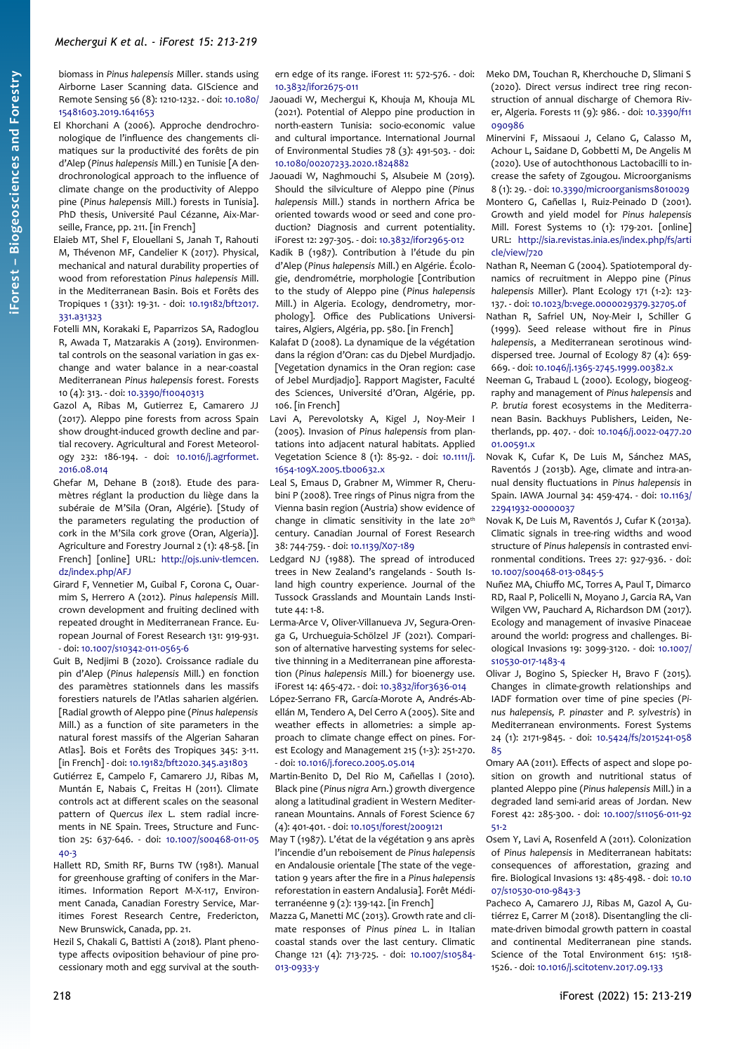biomass in *Pinus halepensis* Miller. stands using Airborne Laser Scanning data. GIScience and Remote Sensing 56 (8): 1210-1232. - doi: [10.1080/](https://doi.org/10.1080/15481603.2019.1641653) [15481603.2019.1641653](https://doi.org/10.1080/15481603.2019.1641653)

- El Khorchani A (2006). Approche dendrochronologique de l'influence des changements climatiques sur la productivité des forêts de pin d'Alep (*Pinus halepensis* Mill.) en Tunisie [A dendrochronological approach to the influence of climate change on the productivity of Aleppo pine (*Pinus halepensis* Mill.) forests in Tunisia]. PhD thesis, Université Paul Cézanne, Aix-Marseille, France, pp. 211. [in French]
- Elaieb MT, Shel F, Elouellani S, Janah T, Rahouti M, Thévenon MF, Candelier K (2017). Physical, mechanical and natural durability properties of wood from reforestation *Pinus halepensis* Mill. in the Mediterranean Basin. Bois et Forêts des Tropiques 1 (331): 19-31. - doi: [10.19182/bft2017.](https://doi.org/10.19182/bft2017.331.a31323) [331.a31323](https://doi.org/10.19182/bft2017.331.a31323)
- Fotelli MN, Korakaki E, Paparrizos SA, Radoglou R, Awada T, Matzarakis A (2019). Environmental controls on the seasonal variation in gas exchange and water balance in a near-coastal Mediterranean *Pinus halepensis* forest. Forests 10 (4): 313. - doi: [10.3390/f10040313](https://doi.org/10.3390/f10040313)
- Gazol A, Ribas M, Gutierrez E, Camarero JJ (2017). Aleppo pine forests from across Spain show drought-induced growth decline and partial recovery. Agricultural and Forest Meteorology 232: 186-194. - doi: [10.1016/j.agrformet.](https://doi.org/10.1016/j.agrformet.2016.08.014) [2016.08.014](https://doi.org/10.1016/j.agrformet.2016.08.014)
- Ghefar M, Dehane B (2018). Etude des paramètres réglant la production du liège dans la subéraie de M'Sila (Oran, Algérie). [Study of the parameters regulating the production of cork in the M'Sila cork grove (Oran, Algeria)]. Agriculture and Forestry Journal 2 (1): 48-58. [in French] [online] URL: [http://ojs.univ-tlemcen.](http://ojs.univ-tlemcen.dz/index.php/AFJ) [dz/index.php/AFJ](http://ojs.univ-tlemcen.dz/index.php/AFJ)
- Girard F, Vennetier M, Guibal F, Corona C, Ouarmim S, Herrero A (2012). *Pinus halepensis* Mill. crown development and fruiting declined with repeated drought in Mediterranean France. European Journal of Forest Research 131: 919-931. - doi: [10.1007/s10342-011-0565-6](https://doi.org/10.1007/s10342-011-0565-6)
- Guit B, Nedjimi B (2020). Croissance radiale du pin d'Alep (*Pinus halepensis* Mill.) en fonction des paramètres stationnels dans les massifs forestiers naturels de l'Atlas saharien algérien. [Radial growth of Aleppo pine (*Pinus halepensis* Mill.) as a function of site parameters in the natural forest massifs of the Algerian Saharan Atlas]. Bois et Forêts des Tropiques 345: 3-11. [in French] - doi: [10.19182/bft2020.345.a31803](https://doi.org/10.19182/bft2020.345.a31803)
- Gutiérrez E, Campelo F, Camarero JJ, Ribas M, Muntán E, Nabais C, Freitas H (2011). Climate controls act at different scales on the seasonal pattern of *Quercus ilex* L. stem radial increments in NE Spain. Trees, Structure and Function 25: 637-646. - doi: [10.1007/s00468-011-05](https://doi.org/10.1007/s00468-011-0540-3) [40-3](https://doi.org/10.1007/s00468-011-0540-3)
- Hallett RD, Smith RF, Burns TW (1981). Manual for greenhouse grafting of conifers in the Maritimes. Information Report M-X-117, Environment Canada, Canadian Forestry Service, Maritimes Forest Research Centre, Fredericton, New Brunswick, Canada, pp. 21.
- Hezil S, Chakali G, Battisti A (2018). Plant phenotype affects oviposition behaviour of pine processionary moth and egg survival at the south-

ern edge of its range. iForest 11: 572-576. - doi: [10.3832/ifor2675-011](https://doi.org/10.3832/ifor2675-011)

- Jaouadi W, Mechergui K, Khouja M, Khouja ML (2021). Potential of Aleppo pine production in north-eastern Tunisia: socio-economic value and cultural importance. International Journal of Environmental Studies 78 (3): 491-503. - doi: [10.1080/00207233.2020.1824882](https://doi.org/10.1080/00207233.2020.1824882)
- Jaouadi W, Naghmouchi S, Alsubeie M (2019). Should the silviculture of Aleppo pine (*Pinus halepensis* Mill.) stands in northern Africa be oriented towards wood or seed and cone production? Diagnosis and current potentiality. iForest 12: 297-305. - doi: [10.3832/ifor2965-012](https://doi.org/10.3832/ifor2965-012)
- Kadik B (1987). Contribution à l'étude du pin d'Alep (*Pinus halepensis* Mill.) en Algérie. Écologie, dendrométrie, morphologie [Contribution to the study of Aleppo pine (*Pinus halepensis* Mill.) in Algeria. Ecology, dendrometry, morphology]. Office des Publications Universitaires, Algiers, Algéria, pp. 580. [in French]
- Kalafat D (2008). La dynamique de la végétation dans la région d'Oran: cas du Djebel Murdjadjo. [Vegetation dynamics in the Oran region: case of Jebel Murdjadjo]. Rapport Magister, Faculté des Sciences, Université d'Oran, Algérie, pp. 106. [in French]
- Lavi A, Perevolotsky A, Kigel J, Noy-Meir I (2005). Invasion of *Pinus halepensis* from plantations into adjacent natural habitats. Applied Vegetation Science 8 (1): 85-92. - doi: [10.1111/j.](https://doi.org/10.1111/j.1654-109X.2005.tb00632.x) [1654-109X.2005.tb00632.x](https://doi.org/10.1111/j.1654-109X.2005.tb00632.x)
- Leal S, Emaus D, Grabner M, Wimmer R, Cherubini P (2008). Tree rings of Pinus nigra from the Vienna basin region (Austria) show evidence of change in climatic sensitivity in the late  $20<sup>th</sup>$ century. Canadian Journal of Forest Research 38: 744-759. - doi: [10.1139/X07-189](https://doi.org/10.1139/X07-189)
- Ledgard NJ (1988). The spread of introduced trees in New Zealand's rangelands - South Island high country experience. Journal of the Tussock Grasslands and Mountain Lands Institute 44: 1-8.
- Lerma-Arce V, Oliver-Villanueva JV, Segura-Orenga G, Urchueguia-Schölzel JF (2021). Comparison of alternative harvesting systems for selective thinning in a Mediterranean pine afforestation (*Pinus halepensis* Mill.) for bioenergy use. iForest 14: 465-472. - doi: [10.3832/ifor3636-014](https://doi.org/10.3832/ifor3636-014)
- López-Serrano FR, García-Morote A, Andrés-Abellán M, Tendero A, Del Cerro A (2005). Site and weather effects in allometries: a simple approach to climate change effect on pines. Forest Ecology and Management 215 (1-3): 251-270. - doi: [10.1016/j.foreco.2005.05.014](https://doi.org/10.1016/j.foreco.2005.05.014)
- Martin-Benito D, Del Rio M, Cañellas I (2010). Black pine (*Pinus nigra* Arn.) growth divergence along a latitudinal gradient in Western Mediterranean Mountains. Annals of Forest Science 67 (4): 401-401. - doi: [10.1051/forest/2009121](https://doi.org/10.1051/forest/2009121)
- May T (1987). L'état de la végétation 9 ans après l'incendie d'un reboisement de *Pinus halepensis* en Andalousie orientale [The state of the vegetation 9 years after the fire in a *Pinus halepensis* reforestation in eastern Andalusia]. Forêt Méditerranéenne 9 (2): 139-142. [in French]
- Mazza G, Manetti MC (2013). Growth rate and climate responses of *Pinus pinea* L. in Italian coastal stands over the last century. Climatic Change 121 (4): 713-725. - doi: [10.1007/s10584-](https://doi.org/10.1007/s10584-013-0933-y) [013-0933-y](https://doi.org/10.1007/s10584-013-0933-y)
- Meko DM, Touchan R, Kherchouche D, Slimani S (2020). Direct *versus* indirect tree ring reconstruction of annual discharge of Chemora River, Algeria. Forests 11 (9): 986. - doi: [10.3390/f11](https://doi.org/10.3390/f11090986) [090986](https://doi.org/10.3390/f11090986)
- Minervini F, Missaoui J, Celano G, Calasso M, Achour L, Saidane D, Gobbetti M, De Angelis M (2020). Use of autochthonous Lactobacilli to increase the safety of Zgougou. Microorganisms 8 (1): 29. - doi: [10.3390/microorganisms8010029](https://doi.org/10.3390/microorganisms8010029)
- Montero G, Cañellas I, Ruiz-Peinado D (2001). Growth and yield model for *Pinus halepensis* Mill. Forest Systems 10 (1): 179-201. [online] URL: [http://sia.revistas.inia.es/index.php/fs/arti](http://sia.revistas.inia.es/index.php/fs/article/view/720) [cle/view/720](http://sia.revistas.inia.es/index.php/fs/article/view/720)
- Nathan R, Neeman G (2004). Spatiotemporal dynamics of recruitment in Aleppo pine (*Pinus halepensis* Miller). Plant Ecology 171 (1-2): 123- 137. - doi: [10.1023/b:vege.0000029379.32705.0f](https://doi.org/10.1023/b:vege.0000029379.32705.0f)
- Nathan R, Safriel UN, Noy-Meir I, Schiller G (1999). Seed release without fire in *Pinus halepensis*, a Mediterranean serotinous winddispersed tree. Journal of Ecology 87 (4): 659- 669. - doi: [10.1046/j.1365-2745.1999.00382.x](https://doi.org/10.1046/j.1365-2745.1999.00382.x)
- Neeman G, Trabaud L (2000). Ecology, biogeography and management of *Pinus halepensis* and *P. brutia* forest ecosystems in the Mediterranean Basin. Backhuys Publishers, Leiden, Netherlands, pp. 407. - doi: [10.1046/j.0022-0477.20](https://doi.org/10.1046/j.0022-0477.2001.00591.x) [01.00591.x](https://doi.org/10.1046/j.0022-0477.2001.00591.x)
- Novak K, Cufar K, De Luis M, Sánchez MAS, Raventós J (2013b). Age, climate and intra-annual density fluctuations in *Pinus halepensis* in Spain. IAWA Journal 34: 459-474. - doi: [10.1163/](https://doi.org/10.1163/22941932-00000037) [22941932-00000037](https://doi.org/10.1163/22941932-00000037)
- Novak K, De Luis M, Raventós J, Cufar K (2013a). Climatic signals in tree-ring widths and wood structure of *Pinus halepensis* in contrasted environmental conditions. Trees 27: 927-936. - doi: [10.1007/s00468-013-0845-5](https://doi.org/10.1007/s00468-013-0845-5)
- Nuñez MA, Chiuffo MC, Torres A, Paul T, Dimarco RD, Raal P, Policelli N, Moyano J, Garcia RA, Van Wilgen VW, Pauchard A, Richardson DM (2017). Ecology and management of invasive Pinaceae around the world: progress and challenges. Biological Invasions 19: 3099-3120. - doi: [10.1007/](https://doi.org/10.1007/s10530-017-1483-4) [s10530-017-1483-4](https://doi.org/10.1007/s10530-017-1483-4)
- Olivar J, Bogino S, Spiecker H, Bravo F (2015). Changes in climate-growth relationships and IADF formation over time of pine species (*Pinus halepensis, P. pinaster* and *P. sylvestris*) in Mediterranean environments. Forest Systems 24 (1): 2171-9845. - doi: [10.5424/fs/2015241-058](https://doi.org/10.5424/fs/2015241-05885) [85](https://doi.org/10.5424/fs/2015241-05885)
- Omary AA (2011). Effects of aspect and slope position on growth and nutritional status of planted Aleppo pine (*Pinus halepensis* Mill.) in a degraded land semi-arid areas of Jordan. New Forest 42: 285-300. - doi: [10.1007/s11056-011-92](https://doi.org/10.1007/s11056-011-9251-2) [51-2](https://doi.org/10.1007/s11056-011-9251-2)
- Osem Y, Lavi A, Rosenfeld A (2011). Colonization of *Pinus halepensis* in Mediterranean habitats: consequences of afforestation, grazing and fire. Biological Invasions 13: 485-498. - doi: [10.10](https://doi.org/10.1007/s10530-010-9843-3) [07/s10530-010-9843-3](https://doi.org/10.1007/s10530-010-9843-3)
- Pacheco A, Camarero JJ, Ribas M, Gazol A, Gutiérrez E, Carrer M (2018). Disentangling the climate-driven bimodal growth pattern in coastal and continental Mediterranean pine stands. Science of the Total Environment 615: 1518- 1526. - doi: [10.1016/j.scitotenv.2017.09.133](https://doi.org/10.1016/j.scitotenv.2017.09.133)